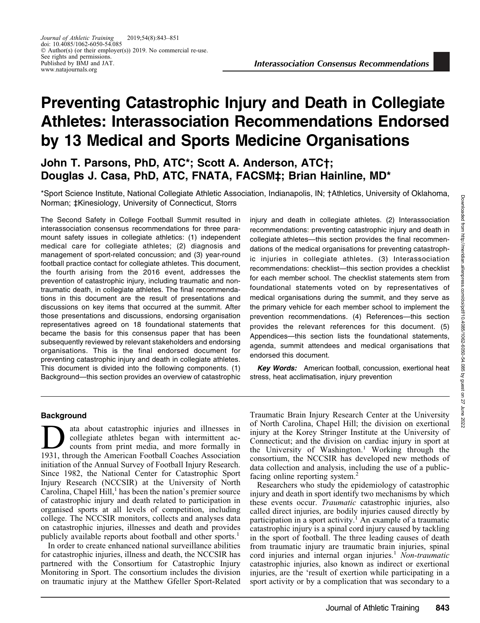# Preventing Catastrophic Injury and Death in Collegiate Athletes: Interassociation Recommendations Endorsed by 13 Medical and Sports Medicine Organisations

## John T. Parsons, PhD, ATC\*; Scott A. Anderson, ATC†; Douglas J. Casa, PhD, ATC, FNATA, FACSM‡; Brian Hainline, MD\*

\*Sport Science Institute, National Collegiate Athletic Association, Indianapolis, IN; †Athletics, University of Oklahoma, Norman; ‡Kinesiology, University of Connecticut, Storrs

The Second Safety in College Football Summit resulted in interassociation consensus recommendations for three paramount safety issues in collegiate athletics: (1) independent medical care for collegiate athletes; (2) diagnosis and management of sport-related concussion; and (3) year-round football practice contact for collegiate athletes. This document, the fourth arising from the 2016 event, addresses the prevention of catastrophic injury, including traumatic and nontraumatic death, in collegiate athletes. The final recommendations in this document are the result of presentations and discussions on key items that occurred at the summit. After those presentations and discussions, endorsing organisation representatives agreed on 18 foundational statements that became the basis for this consensus paper that has been subsequently reviewed by relevant stakeholders and endorsing organisations. This is the final endorsed document for preventing catastrophic injury and death in collegiate athletes. This document is divided into the following components. (1) Background—this section provides an overview of catastrophic injury and death in collegiate athletes. (2) Interassociation recommendations: preventing catastrophic injury and death in collegiate athletes—this section provides the final recommendations of the medical organisations for preventing catastrophic injuries in collegiate athletes. (3) Interassociation recommendations: checklist—this section provides a checklist for each member school. The checklist statements stem from foundational statements voted on by representatives of medical organisations during the summit, and they serve as the primary vehicle for each member school to implement the prevention recommendations. (4) References—this section provides the relevant references for this document. (5) Appendices—this section lists the foundational statements, agenda, summit attendees and medical organisations that endorsed this document.

Key Words: American football, concussion, exertional heat stress, heat acclimatisation, injury prevention

## **Background**

**10** at about catastrophic injuries and illnesses in collegiate athletes began with intermittent accounts from print media, and more formally in 1931 through the American Football Coaches Association collegiate athletes began with intermittent ac-1931, through the American Football Coaches Association initiation of the Annual Survey of Football Injury Research. Since 1982, the National Center for Catastrophic Sport Injury Research (NCCSIR) at the University of North Carolina, Chapel Hill, $<sup>1</sup>$  has been the nation's premier source</sup> of catastrophic injury and death related to participation in organised sports at all levels of competition, including college. The NCCSIR monitors, collects and analyses data on catastrophic injuries, illnesses and death and provides publicly available reports about football and other sports.<sup>1</sup>

In order to create enhanced national surveillance abilities for catastrophic injuries, illness and death, the NCCSIR has partnered with the Consortium for Catastrophic Injury Monitoring in Sport. The consortium includes the division on traumatic injury at the Matthew Gfeller Sport-Related Traumatic Brain Injury Research Center at the University of North Carolina, Chapel Hill; the division on exertional injury at the Korey Stringer Institute at the University of Connecticut; and the division on cardiac injury in sport at the University of Washington.<sup>1</sup> Working through the consortium, the NCCSIR has developed new methods of data collection and analysis, including the use of a publicfacing online reporting system.<sup>2</sup>

Researchers who study the epidemiology of catastrophic injury and death in sport identify two mechanisms by which these events occur. Traumatic catastrophic injuries, also called direct injuries, are bodily injuries caused directly by participation in a sport activity.<sup>1</sup> An example of a traumatic catastrophic injury is a spinal cord injury caused by tackling in the sport of football. The three leading causes of death from traumatic injury are traumatic brain injuries, spinal cord injuries and internal organ injuries.<sup>1</sup> Non-traumatic catastrophic injuries, also known as indirect or exertional injuries, are the 'result of exertion while participating in a sport activity or by a complication that was secondary to a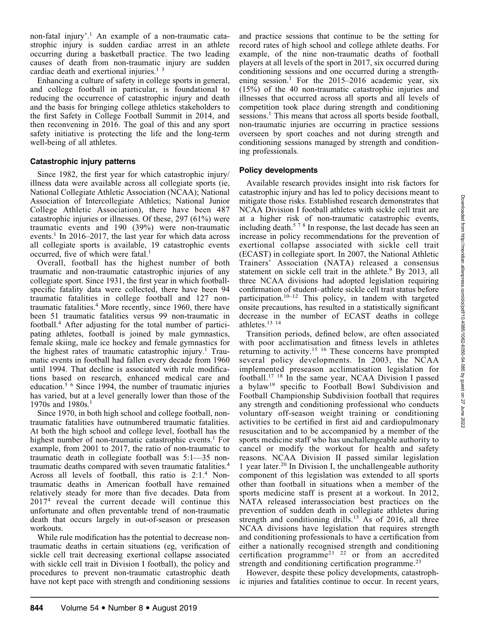non-fatal injury'.<sup>1</sup> An example of a non-traumatic catastrophic injury is sudden cardiac arrest in an athlete occurring during a basketball practice. The two leading causes of death from non-traumatic injury are sudden cardiac death and exertional injuries.<sup>13</sup>

Enhancing a culture of safety in college sports in general, and college football in particular, is foundational to reducing the occurrence of catastrophic injury and death and the basis for bringing college athletics stakeholders to the first Safety in College Football Summit in 2014, and then reconvening in 2016. The goal of this and any sport safety initiative is protecting the life and the long-term well-being of all athletes.

## Catastrophic injury patterns

Since 1982, the first year for which catastrophic injury/ illness data were available across all collegiate sports (ie, National Collegiate Athletic Association (NCAA); National Association of Intercollegiate Athletics; National Junior College Athletic Association), there have been 487 catastrophic injuries or illnesses. Of these, 297 (61%) were traumatic events and 190 (39%) were non-traumatic events.<sup>1</sup> In 2016–2017, the last year for which data across all collegiate sports is available, 19 catastrophic events occurred, five of which were fatal.<sup>1</sup>

Overall, football has the highest number of both traumatic and non-traumatic catastrophic injuries of any collegiate sport. Since 1931, the first year in which footballspecific fatality data were collected, there have been 94 traumatic fatalities in college football and 127 nontraumatic fatalities.<sup>4</sup> More recently, since 1960, there have been 51 traumatic fatalities versus 99 non-traumatic in football.4 After adjusting for the total number of participating athletes, football is joined by male gymnastics, female skiing, male ice hockey and female gymnastics for the highest rates of traumatic catastrophic injury.<sup>1</sup> Traumatic events in football had fallen every decade from 1960 until 1994. That decline is associated with rule modifications based on research, enhanced medical care and education.5 6 Since 1994, the number of traumatic injuries has varied, but at a level generally lower than those of the 1970s and  $1980s$ <sup>1</sup>

Since 1970, in both high school and college football, nontraumatic fatalities have outnumbered traumatic fatalities. At both the high school and college level, football has the highest number of non-traumatic catastrophic events.<sup>1</sup> For example, from 2001 to 2017, the ratio of non-traumatic to traumatic death in collegiate football was 5:1—35 nontraumatic deaths compared with seven traumatic fatalities.4 Across all levels of football, this ratio is 2:1.4 Nontraumatic deaths in American football have remained relatively steady for more than five decades. Data from 2017<sup>4</sup> reveal the current decade will continue this unfortunate and often preventable trend of non-traumatic death that occurs largely in out-of-season or preseason workouts.

While rule modification has the potential to decrease nontraumatic deaths in certain situations (eg, verification of sickle cell trait decreasing exertional collapse associated with sickle cell trait in Division I football), the policy and procedures to prevent non-traumatic catastrophic death have not kept pace with strength and conditioning sessions

and practice sessions that continue to be the setting for record rates of high school and college athlete deaths. For example, of the nine non-traumatic deaths of football players at all levels of the sport in 2017, six occurred during conditioning sessions and one occurred during a strengthening session.<sup>1</sup> For the  $2015-2016$  academic year, six (15%) of the 40 non-traumatic catastrophic injuries and illnesses that occurred across all sports and all levels of competition took place during strength and conditioning sessions.<sup>1</sup> This means that across all sports beside football, non-traumatic injuries are occurring in practice sessions overseen by sport coaches and not during strength and conditioning sessions managed by strength and conditioning professionals.

## Policy developments

Available research provides insight into risk factors for catastrophic injury and has led to policy decisions meant to mitigate those risks. Established research demonstrates that NCAA Division I football athletes with sickle cell trait are at a higher risk of non-traumatic catastrophic events, including death.<sup>578</sup> In response, the last decade has seen an increase in policy recommendations for the prevention of exertional collapse associated with sickle cell trait (ECAST) in collegiate sport. In 2007, the National Athletic Trainers' Association (NATA) released a consensus statement on sickle cell trait in the athlete.<sup>9</sup> By 2013, all three NCAA divisions had adopted legislation requiring confirmation of student–athlete sickle cell trait status before participation.<sup>10–12</sup> This policy, in tandem with targeted onsite precautions, has resulted in a statistically significant decrease in the number of ECAST deaths in college athletes.13 14

Transition periods, defined below, are often associated with poor acclimatisation and fitness levels in athletes returning to activity.15 16 These concerns have prompted several policy developments. In 2003, the NCAA implemented preseason acclimatisation legislation for football.17 18 In the same year, NCAA Division I passed a bylaw<sup>19</sup> specific to Football Bowl Subdivision and Football Championship Subdivision football that requires any strength and conditioning professional who conducts voluntary off-season weight training or conditioning activities to be certified in first aid and cardiopulmonary resuscitation and to be accompanied by a member of the sports medicine staff who has unchallengeable authority to cancel or modify the workout for health and safety reasons. NCAA Division II passed similar legislation 1 year later.<sup>20</sup> In Division I, the unchallengeable authority component of this legislation was extended to all sports other than football in situations when a member of the sports medicine staff is present at a workout. In 2012, NATA released interassociation best practices on the prevention of sudden death in collegiate athletes during strength and conditioning drills.<sup>15</sup> As of 2016, all three NCAA divisions have legislation that requires strength and conditioning professionals to have a certification from either a nationally recognised strength and conditioning certification programme<sup>21 22</sup> or from an accredited strength and conditioning certification programme.<sup>23</sup>

However, despite these policy developments, catastrophic injuries and fatalities continue to occur. In recent years,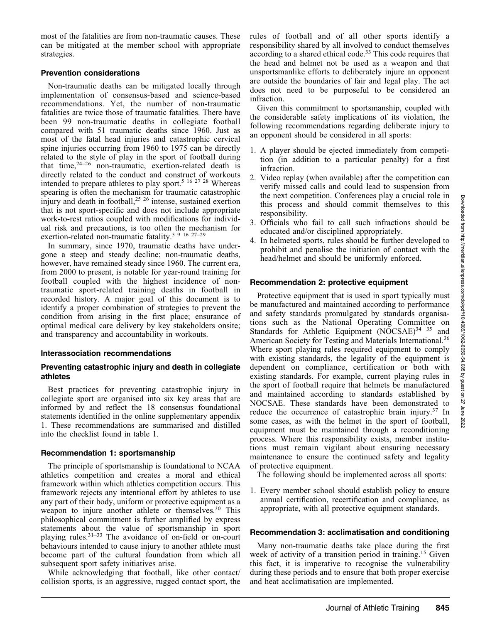most of the fatalities are from non-traumatic causes. These can be mitigated at the member school with appropriate strategies.

## Prevention considerations

Non-traumatic deaths can be mitigated locally through implementation of consensus-based and science-based recommendations. Yet, the number of non-traumatic fatalities are twice those of traumatic fatalities. There have been 99 non-traumatic deaths in collegiate football compared with 51 traumatic deaths since 1960. Just as most of the fatal head injuries and catastrophic cervical spine injuries occurring from 1960 to 1975 can be directly related to the style of play in the sport of football during that time, $24-26$  non-traumatic, exertion-related death is directly related to the conduct and construct of workouts intended to prepare athletes to play sport.<sup>5 16 27 28</sup> Whereas spearing is often the mechanism for traumatic catastrophic injury and death in football, $25 \times 26$  intense, sustained exertion that is not sport-specific and does not include appropriate work-to-rest ratios coupled with modifications for individual risk and precautions, is too often the mechanism for exertion-related non-traumatic fatality.<sup>5</sup> 9 16 27-29

In summary, since 1970, traumatic deaths have undergone a steep and steady decline; non-traumatic deaths, however, have remained steady since 1960. The current era, from 2000 to present, is notable for year-round training for football coupled with the highest incidence of nontraumatic sport-related training deaths in football in recorded history. A major goal of this document is to identify a proper combination of strategies to prevent the condition from arising in the first place; ensurance of optimal medical care delivery by key stakeholders onsite; and transparency and accountability in workouts.

## Interassociation recommendations

## Preventing catastrophic injury and death in collegiate athletes

Best practices for preventing catastrophic injury in collegiate sport are organised into six key areas that are informed by and reflect the 18 consensus foundational statements identified in the online supplementary appendix 1. These recommendations are summarised and distilled into the checklist found in table 1.

## Recommendation 1: sportsmanship

The principle of sportsmanship is foundational to NCAA athletics competition and creates a moral and ethical framework within which athletics competition occurs. This framework rejects any intentional effort by athletes to use any part of their body, uniform or protective equipment as a weapon to injure another athlete or themselves.<sup>30</sup> This philosophical commitment is further amplified by express statements about the value of sportsmanship in sport playing rules.31–33 The avoidance of on-field or on-court behaviours intended to cause injury to another athlete must become part of the cultural foundation from which all subsequent sport safety initiatives arise.

While acknowledging that football, like other contact/ collision sports, is an aggressive, rugged contact sport, the rules of football and of all other sports identify a responsibility shared by all involved to conduct themselves according to a shared ethical code.<sup>33</sup> This code requires that the head and helmet not be used as a weapon and that unsportsmanlike efforts to deliberately injure an opponent are outside the boundaries of fair and legal play. The act does not need to be purposeful to be considered an infraction.

Given this commitment to sportsmanship, coupled with the considerable safety implications of its violation, the following recommendations regarding deliberate injury to an opponent should be considered in all sports:

- 1. A player should be ejected immediately from competition (in addition to a particular penalty) for a first infraction.
- 2. Video replay (when available) after the competition can verify missed calls and could lead to suspension from the next competition. Conferences play a crucial role in this process and should commit themselves to this responsibility.
- 3. Officials who fail to call such infractions should be educated and/or disciplined appropriately.
- 4. In helmeted sports, rules should be further developed to prohibit and penalise the initiation of contact with the head/helmet and should be uniformly enforced.

## Recommendation 2: protective equipment

Protective equipment that is used in sport typically must be manufactured and maintained according to performance and safety standards promulgated by standards organisations such as the National Operating Committee on Standards for Athletic Equipment  $(NOCSAE)^{34}$  35 and American Society for Testing and Materials International.<sup>36</sup> Where sport playing rules required equipment to comply with existing standards, the legality of the equipment is dependent on compliance, certification or both with existing standards. For example, current playing rules in the sport of football require that helmets be manufactured and maintained according to standards established by NOCSAE. These standards have been demonstrated to reduce the occurrence of catastrophic brain injury.<sup>37</sup> In some cases, as with the helmet in the sport of football, equipment must be maintained through a reconditioning process. Where this responsibility exists, member institutions must remain vigilant about ensuring necessary maintenance to ensure the continued safety and legality of protective equipment.

The following should be implemented across all sports:

1. Every member school should establish policy to ensure annual certification, recertification and compliance, as appropriate, with all protective equipment standards.

## Recommendation 3: acclimatisation and conditioning

Many non-traumatic deaths take place during the first week of activity of a transition period in training.<sup>15</sup> Given this fact, it is imperative to recognise the vulnerability during these periods and to ensure that both proper exercise and heat acclimatisation are implemented.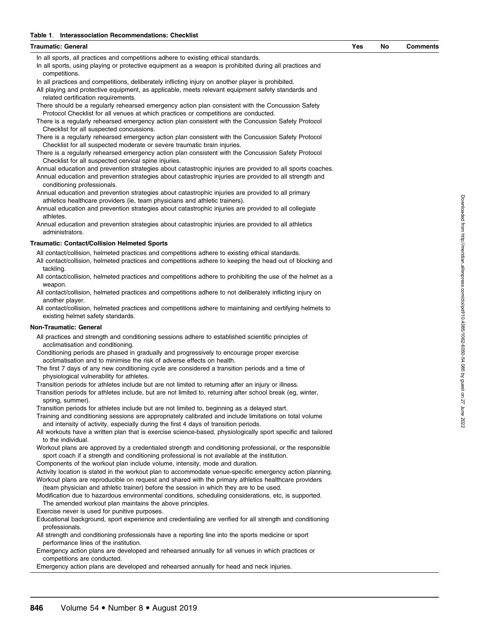#### Table 1. Interassociation Recommendations: Checklist

#### Traumatic: General Yes No Comments

In all sports, all practices and competitions adhere to existing ethical standards.

- In all sports, using playing or protective equipment as a weapon is prohibited during all practices and competitions.
- In all practices and competitions, deliberately inflicting injury on another player is prohibited.
- All playing and protective equipment, as applicable, meets relevant equipment safety standards and related certification requirements.
- There should be a regularly rehearsed emergency action plan consistent with the Concussion Safety Protocol Checklist for all venues at which practices or competitions are conducted.
- There is a regularly rehearsed emergency action plan consistent with the Concussion Safety Protocol Checklist for all suspected concussions.
- There is a regularly rehearsed emergency action plan consistent with the Concussion Safety Protocol Checklist for all suspected moderate or severe traumatic brain injuries.
- There is a regularly rehearsed emergency action plan consistent with the Concussion Safety Protocol Checklist for all suspected cervical spine injuries.
- Annual education and prevention strategies about catastrophic injuries are provided to all sports coaches.
- Annual education and prevention strategies about catastrophic injuries are provided to all strength and conditioning professionals.
- Annual education and prevention strategies about catastrophic injuries are provided to all primary athletics healthcare providers (ie, team physicians and athletic trainers).
- Annual education and prevention strategies about catastrophic injuries are provided to all collegiate athletes.
- Annual education and prevention strategies about catastrophic injuries are provided to all athletics administrators.

#### Traumatic: Contact/Collision Helmeted Sports

All contact/collision, helmeted practices and competitions adhere to existing ethical standards.

- All contact/collision, helmeted practices and competitions adhere to keeping the head out of blocking and tackling.
- All contact/collision, helmeted practices and competitions adhere to prohibiting the use of the helmet as a weapon.
- All contact/collision, helmeted practices and competitions adhere to not deliberately inflicting injury on another player.
- All contact/collision, helmeted practices and competitions adhere to maintaining and certifying helmets to existing helmet safety standards.

#### Non-Traumatic: General

- All practices and strength and conditioning sessions adhere to established scientific principles of acclimatisation and conditioning.
- Conditioning periods are phased in gradually and progressively to encourage proper exercise acclimatisation and to minimise the risk of adverse effects on health.
- The first 7 days of any new conditioning cycle are considered a transition periods and a time of physiological vulnerability for athletes.
- Transition periods for athletes include but are not limited to returning after an injury or illness.
- Transition periods for athletes include, but are not limited to, returning after school break (eg, winter, spring, summer).
- Transition periods for athletes include but are not limited to, beginning as a delayed start.
- Training and conditioning sessions are appropriately calibrated and include limitations on total volume and intensity of activity, especially during the first 4 days of transition periods.
- All workouts have a written plan that is exercise science-based, physiologically sport specific and tailored to the individual.
- Workout plans are approved by a credentialed strength and conditioning professional, or the responsible sport coach if a strength and conditioning professional is not available at the institution.
- Components of the workout plan include volume, intensity, mode and duration.
- Activity location is stated in the workout plan to accommodate venue-specific emergency action planning. Workout plans are reproducible on request and shared with the primary athletics healthcare providers (team physician and athletic trainer) before the session in which they are to be used.
- Modification due to hazardous environmental conditions, scheduling considerations, etc, is supported. The amended workout plan maintains the above principles.
- Exercise never is used for punitive purposes.
- Educational background, sport experience and credentialing are verified for all strength and conditioning professionals.
- All strength and conditioning professionals have a reporting line into the sports medicine or sport performance lines of the institution.
- Emergency action plans are developed and rehearsed annually for all venues in which practices or competitions are conducted.

Emergency action plans are developed and rehearsed annually for head and neck injuries.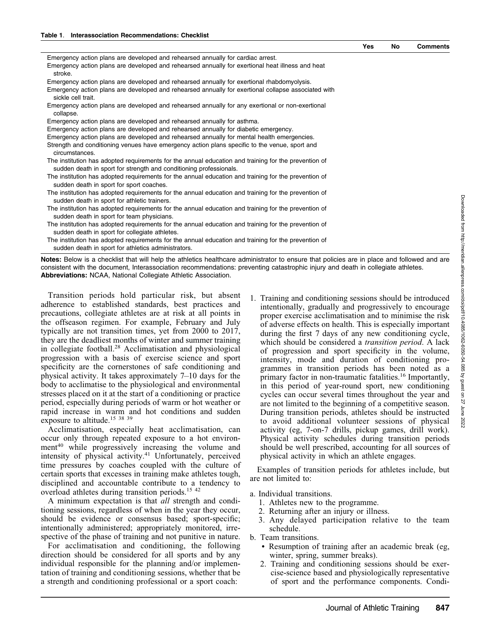| Emergency action plans are developed and rehearsed annually for cardiac arrest.                                                                                            |
|----------------------------------------------------------------------------------------------------------------------------------------------------------------------------|
| Emergency action plans are developed and rehearsed annually for exertional heat illness and heat<br>stroke.                                                                |
| Emergency action plans are developed and rehearsed annually for exertional rhabdomyolysis.                                                                                 |
| Emergency action plans are developed and rehearsed annually for exertional collapse associated with<br>sickle cell trait.                                                  |
| Emergency action plans are developed and rehearsed annually for any exertional or non-exertional<br>collapse.                                                              |
| Emergency action plans are developed and rehearsed annually for asthma.                                                                                                    |
| Emergency action plans are developed and rehearsed annually for diabetic emergency.                                                                                        |
| Emergency action plans are developed and rehearsed annually for mental health emergencies.                                                                                 |
| Strength and conditioning venues have emergency action plans specific to the venue, sport and<br>circumstances.                                                            |
| The institution has adopted requirements for the annual education and training for the prevention of<br>sudden death in sport for strength and conditioning professionals. |
| The institution has adopted requirements for the annual education and training for the prevention of<br>sudden death in sport for sport coaches.                           |
| The institution has adopted requirements for the annual education and training for the prevention of<br>sudden death in sport for athletic trainers.                       |
| The institution has adopted requirements for the annual education and training for the prevention of<br>sudden death in sport for team physicians.                         |
| The institution has adopted requirements for the annual education and training for the prevention of<br>sudden death in sport for collegiate athletes.                     |
| The institution has adopted requirements for the annual education and training for the prevention of<br>sudden death in sport for athletics administrators.                |

consistent with the document, Interassociation recommendations: preventing catastrophic injury and death in collegiate athletes. Abbreviations: NCAA, National Collegiate Athletic Association.

Transition periods hold particular risk, but absent adherence to established standards, best practices and precautions, collegiate athletes are at risk at all points in the offseason regimen. For example, February and July typically are not transition times, yet from 2000 to 2017, they are the deadliest months of winter and summer training in collegiate football.28 Acclimatisation and physiological progression with a basis of exercise science and sport specificity are the cornerstones of safe conditioning and physical activity. It takes approximately 7–10 days for the body to acclimatise to the physiological and environmental stresses placed on it at the start of a conditioning or practice period, especially during periods of warm or hot weather or rapid increase in warm and hot conditions and sudden exposure to altitude.15 38 39

Acclimatisation, especially heat acclimatisation, can occur only through repeated exposure to a hot environment<sup>40</sup> while progressively increasing the volume and intensity of physical activity.<sup>41</sup> Unfortunately, perceived time pressures by coaches coupled with the culture of certain sports that excesses in training make athletes tough, disciplined and accountable contribute to a tendency to overload athletes during transition periods.<sup>15 42</sup>

A minimum expectation is that all strength and conditioning sessions, regardless of when in the year they occur, should be evidence or consensus based; sport-specific; intentionally administered; appropriately monitored, irrespective of the phase of training and not punitive in nature.

For acclimatisation and conditioning, the following direction should be considered for all sports and by any individual responsible for the planning and/or implementation of training and conditioning sessions, whether that be a strength and conditioning professional or a sport coach:

1. Training and conditioning sessions should be introduced intentionally, gradually and progressively to encourage proper exercise acclimatisation and to minimise the risk of adverse effects on health. This is especially important during the first 7 days of any new conditioning cycle, which should be considered a *transition period*. A lack of progression and sport specificity in the volume, intensity, mode and duration of conditioning programmes in transition periods has been noted as a primary factor in non-traumatic fatalities.<sup>16</sup> Importantly, in this period of year-round sport, new conditioning cycles can occur several times throughout the year and are not limited to the beginning of a competitive season. During transition periods, athletes should be instructed to avoid additional volunteer sessions of physical activity (eg, 7-on-7 drills, pickup games, drill work). Physical activity schedules during transition periods should be well prescribed, accounting for all sources of physical activity in which an athlete engages.

Examples of transition periods for athletes include, but are not limited to:

a. Individual transitions.

- 1. Athletes new to the programme.
- 2. Returning after an injury or illness.
- 3. Any delayed participation relative to the team schedule.
- b. Team transitions.
	- Resumption of training after an academic break (eg, winter, spring, summer breaks).
	- 2. Training and conditioning sessions should be exercise-science based and physiologically representative of sport and the performance components. Condi-

Yes No Comments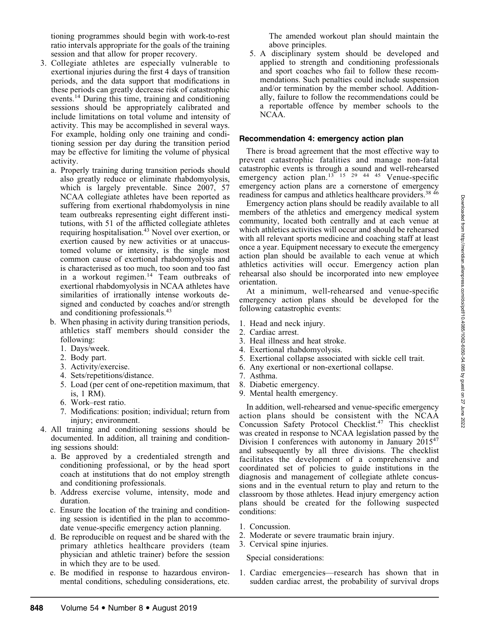tioning programmes should begin with work-to-rest ratio intervals appropriate for the goals of the training session and that allow for proper recovery.

- 3. Collegiate athletes are especially vulnerable to exertional injuries during the first 4 days of transition periods, and the data support that modifications in these periods can greatly decrease risk of catastrophic events.<sup>14</sup> During this time, training and conditioning sessions should be appropriately calibrated and include limitations on total volume and intensity of activity. This may be accomplished in several ways. For example, holding only one training and conditioning session per day during the transition period may be effective for limiting the volume of physical activity.
	- a. Properly training during transition periods should also greatly reduce or eliminate rhabdomyolysis, which is largely preventable. Since 2007, 57 NCAA collegiate athletes have been reported as suffering from exertional rhabdomyolysis in nine team outbreaks representing eight different institutions, with 51 of the afflicted collegiate athletes requiring hospitalisation.<sup>43</sup> Novel over exertion, or exertion caused by new activities or at unaccustomed volume or intensity, is the single most common cause of exertional rhabdomyolysis and is characterised as too much, too soon and too fast in a workout regimen.<sup>14</sup> Team outbreaks of exertional rhabdomyolysis in NCAA athletes have similarities of irrationally intense workouts designed and conducted by coaches and/or strength and conditioning professionals.<sup>43</sup>
	- b. When phasing in activity during transition periods, athletics staff members should consider the following:
		- 1. Days/week.
		- 2. Body part.
		- 3. Activity/exercise.
		- 4. Sets/repetitions/distance.
		- 5. Load (per cent of one-repetition maximum, that is, 1 RM).
		- 6. Work–rest ratio.
		- 7. Modifications: position; individual; return from injury; environment.
- 4. All training and conditioning sessions should be documented. In addition, all training and conditioning sessions should:
	- a. Be approved by a credentialed strength and conditioning professional, or by the head sport coach at institutions that do not employ strength and conditioning professionals.
	- b. Address exercise volume, intensity, mode and duration.
	- c. Ensure the location of the training and conditioning session is identified in the plan to accommodate venue-specific emergency action planning.
	- d. Be reproducible on request and be shared with the primary athletics healthcare providers (team physician and athletic trainer) before the session in which they are to be used.
	- e. Be modified in response to hazardous environmental conditions, scheduling considerations, etc.

The amended workout plan should maintain the above principles.

5. A disciplinary system should be developed and applied to strength and conditioning professionals and sport coaches who fail to follow these recommendations. Such penalties could include suspension and/or termination by the member school. Additionally, failure to follow the recommendations could be a reportable offence by member schools to the NCAA.

### Recommendation 4: emergency action plan

There is broad agreement that the most effective way to prevent catastrophic fatalities and manage non-fatal catastrophic events is through a sound and well-rehearsed emergency action plan.<sup>13</sup> <sup>15</sup> <sup>29</sup> <sup>44</sup> <sup>45</sup> Venue-specific emergency action plans are a cornerstone of emergency readiness for campus and athletics healthcare providers.<sup>38 46</sup>

Emergency action plans should be readily available to all members of the athletics and emergency medical system community, located both centrally and at each venue at which athletics activities will occur and should be rehearsed with all relevant sports medicine and coaching staff at least once a year. Equipment necessary to execute the emergency action plan should be available to each venue at which athletics activities will occur. Emergency action plan rehearsal also should be incorporated into new employee orientation.

At a minimum, well-rehearsed and venue-specific emergency action plans should be developed for the following catastrophic events:

- 1. Head and neck injury.
- 2. Cardiac arrest.
- 3. Heal illness and heat stroke.
- 4. Exertional rhabdomyolysis.
- 5. Exertional collapse associated with sickle cell trait.
- 6. Any exertional or non-exertional collapse.
- 7. Asthma.
- 8. Diabetic emergency.
- 9. Mental health emergency.

In addition, well-rehearsed and venue-specific emergency action plans should be consistent with the NCAA Concussion Safety Protocol Checklist.<sup>47</sup> This checklist was created in response to NCAA legislation passed by the Division I conferences with autonomy in January  $2015^{47}$ and subsequently by all three divisions. The checklist facilitates the development of a comprehensive and coordinated set of policies to guide institutions in the diagnosis and management of collegiate athlete concussions and in the eventual return to play and return to the classroom by those athletes. Head injury emergency action plans should be created for the following suspected conditions:

- 1. Concussion.
- 2. Moderate or severe traumatic brain injury.
- 3. Cervical spine injuries.

Special considerations:

1. Cardiac emergencies—research has shown that in sudden cardiac arrest, the probability of survival drops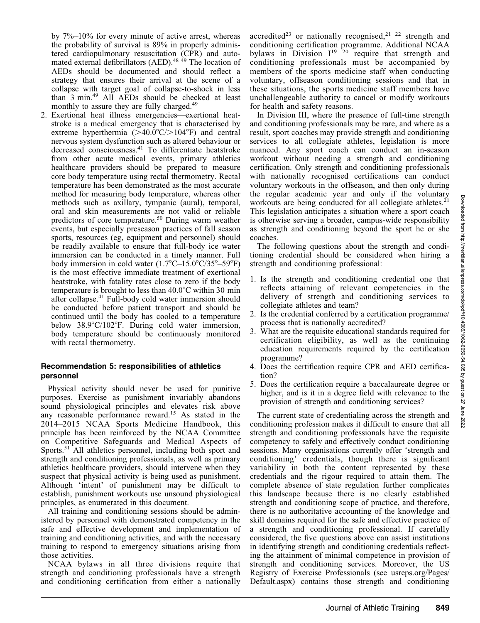by 7%–10% for every minute of active arrest, whereas the probability of survival is 89% in properly administered cardiopulmonary resuscitation (CPR) and automated external defibrillators (AED).<sup>48 49</sup> The location of AEDs should be documented and should reflect a strategy that ensures their arrival at the scene of a collapse with target goal of collapse-to-shock in less than 3 min.49 All AEDs should be checked at least monthly to assure they are fully charged.<sup>49</sup>

2. Exertional heat illness emergencies—exertional heatstroke is a medical emergency that is characterised by extreme hyperthermia  $(>40.0^{\circ}C>/>104^{\circ}F)$  and central nervous system dysfunction such as altered behaviour or decreased consciousness.<sup>41</sup> To differentiate heatstroke from other acute medical events, primary athletics healthcare providers should be prepared to measure core body temperature using rectal thermometry. Rectal temperature has been demonstrated as the most accurate method for measuring body temperature, whereas other methods such as axillary, tympanic (aural), temporal, oral and skin measurements are not valid or reliable predictors of core temperature.<sup>50</sup> During warm weather events, but especially preseason practices of fall season sports, resources (eg, equipment and personnel) should be readily available to ensure that full-body ice water immersion can be conducted in a timely manner. Full body immersion in cold water  $(1.7^{\circ}C - 15.0^{\circ}C/35^{\circ} - 59^{\circ}F)$ is the most effective immediate treatment of exertional heatstroke, with fatality rates close to zero if the body temperature is brought to less than  $40.0^{\circ}$ C within 30 min after collapse.<sup>41</sup> Full-body cold water immersion should be conducted before patient transport and should be continued until the body has cooled to a temperature below  $38.9^{\circ}C/102^{\circ}F$ . During cold water immersion, body temperature should be continuously monitored with rectal thermometry.

## Recommendation 5: responsibilities of athletics personnel

Physical activity should never be used for punitive purposes. Exercise as punishment invariably abandons sound physiological principles and elevates risk above any reasonable performance reward.<sup>15</sup> As stated in the 2014–2015 NCAA Sports Medicine Handbook, this principle has been reinforced by the NCAA Committee on Competitive Safeguards and Medical Aspects of Sports.<sup>51</sup> All athletics personnel, including both sport and strength and conditioning professionals, as well as primary athletics healthcare providers, should intervene when they suspect that physical activity is being used as punishment. Although 'intent' of punishment may be difficult to establish, punishment workouts use unsound physiological principles, as enumerated in this document.

All training and conditioning sessions should be administered by personnel with demonstrated competency in the safe and effective development and implementation of training and conditioning activities, and with the necessary training to respond to emergency situations arising from those activities.

NCAA bylaws in all three divisions require that strength and conditioning professionals have a strength and conditioning certification from either a nationally accredited<sup>23</sup> or nationally recognised,<sup>21</sup> <sup>22</sup> strength and conditioning certification programme. Additional NCAA bylaws in Division  $I^{19}$  <sup>20</sup> require that strength and conditioning professionals must be accompanied by members of the sports medicine staff when conducting voluntary, offseason conditioning sessions and that in these situations, the sports medicine staff members have unchallengeable authority to cancel or modify workouts for health and safety reasons.

In Division III, where the presence of full-time strength and conditioning professionals may be rare, and where as a result, sport coaches may provide strength and conditioning services to all collegiate athletes, legislation is more nuanced. Any sport coach can conduct an in-season workout without needing a strength and conditioning certification. Only strength and conditioning professionals with nationally recognised certifications can conduct voluntary workouts in the offseason, and then only during the regular academic year and only if the voluntary workouts are being conducted for all collegiate athletes. $21$ This legislation anticipates a situation where a sport coach is otherwise serving a broader, campus-wide responsibility as strength and conditioning beyond the sport he or she coaches.

The following questions about the strength and conditioning credential should be considered when hiring a strength and conditioning professional:

- 1. Is the strength and conditioning credential one that reflects attaining of relevant competencies in the delivery of strength and conditioning services to collegiate athletes and team?
- 2. Is the credential conferred by a certification programme/ process that is nationally accredited?
- 3. What are the requisite educational standards required for certification eligibility, as well as the continuing education requirements required by the certification programme?
- 4. Does the certification require CPR and AED certification?
- 5. Does the certification require a baccalaureate degree or higher, and is it in a degree field with relevance to the provision of strength and conditioning services?

The current state of credentialing across the strength and conditioning profession makes it difficult to ensure that all strength and conditioning professionals have the requisite competency to safely and effectively conduct conditioning sessions. Many organisations currently offer 'strength and conditioning' credentials, though there is significant variability in both the content represented by these credentials and the rigour required to attain them. The complete absence of state regulation further complicates this landscape because there is no clearly established strength and conditioning scope of practice, and therefore, there is no authoritative accounting of the knowledge and skill domains required for the safe and effective practice of a strength and conditioning professional. If carefully considered, the five questions above can assist institutions in identifying strength and conditioning credentials reflecting the attainment of minimal competence in provision of strength and conditioning services. Moreover, the US Registry of Exercise Professionals (see usreps.org/Pages/ Default.aspx) contains those strength and conditioning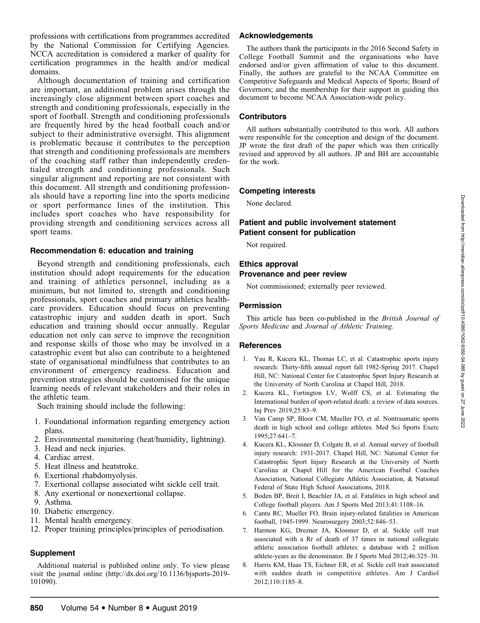professions with certifications from programmes accredited by the National Commission for Certifying Agencies. NCCA accreditation is considered a marker of quality for certification programmes in the health and/or medical domains.

Although documentation of training and certification are important, an additional problem arises through the increasingly close alignment between sport coaches and strength and conditioning professionals, especially in the sport of football. Strength and conditioning professionals are frequently hired by the head football coach and/or subject to their administrative oversight. This alignment is problematic because it contributes to the perception that strength and conditioning professionals are members of the coaching staff rather than independently credentialed strength and conditioning professionals. Such singular alignment and reporting are not consistent with this document. All strength and conditioning professionals should have a reporting line into the sports medicine or sport performance lines of the institution. This includes sport coaches who have responsibility for providing strength and conditioning services across all sport teams.

## Recommendation 6: education and training

Beyond strength and conditioning professionals, each institution should adopt requirements for the education and training of athletics personnel, including as a minimum, but not limited to, strength and conditioning professionals, sport coaches and primary athletics healthcare providers. Education should focus on preventing catastrophic injury and sudden death in sport. Such education and training should occur annually. Regular education not only can serve to improve the recognition and response skills of those who may be involved in a catastrophic event but also can contribute to a heightened state of organisational mindfulness that contributes to an environment of emergency readiness. Education and prevention strategies should be customised for the unique learning needs of relevant stakeholders and their roles in the athletic team.

Such training should include the following:

- 1. Foundational information regarding emergency action plans.
- 2. Environmental monitoring (heat/humidity, lightning).
- 3. Head and neck injuries.
- 4. Cardiac arrest.
- 5. Heat illness and heatstroke.
- 6. Exertional rhabdomyolysis.
- 7. Exertional collapse associated wiht sickle cell trait.
- 8. Any exertional or nonexertional collapse.
- 9. Asthma.
- 10. Diabetic emergency.
- 11. Mental health emergency.
- 12. Proper training principles/principles of periodisation.

## Supplement

Additional material is published online only. To view please visit the journal online (http://dx.doi.org/10.1136/bjsports-2019- 101090).

## Acknowledgements

The authors thank the participants in the 2016 Second Safety in College Football Summit and the organisations who have endorsed and/or given affirmation of value to this document. Finally, the authors are grateful to the NCAA Committee on Competitive Safeguards and Medical Aspects of Sports; Board of Governors; and the membership for their support in guiding this document to become NCAA Association-wide policy.

## **Contributors**

All authors substantially contributed to this work. All authors were responsible for the conception and design of the document. JP wrote the first draft of the paper which was then critically revised and approved by all authors. JP and BH are accountable for the work.

## Competing interests

None declared.

## Patient and public involvement statement Patient consent for publication

Not required.

## Ethics approval Provenance and peer review

Not commissioned; externally peer reviewed.

## Permission

This article has been co-published in the British Journal of Sports Medicine and Journal of Athletic Training.

## **References**

- 1. Yau R, Kucera KL, Thomas LC, et al. Catastrophic sports injury research: Thirty-fifth annual report fall 1982-Spring 2017. Chapel Hill, NC: National Center for Catastrophic Sport Injury Research at the University of North Carolina at Chapel Hill, 2018.
- 2. Kucera KL, Fortington LV, Wolff CS, et al. Estimating the International burden of sport-related death: a review of data sources. Inj Prev 2019;25:83–9.
- 3. Van Camp SP, Bloor CM, Mueller FO, et al. Nontraumatic sports death in high school and college athletes. Med Sci Sports Exerc 1995;27:641–7.
- 4. Kucera KL, Klossner D, Colgate B, et al. Annual survey of football injury research: 1931-2017. Chapel Hill, NC: National Center for Catastrophic Sport Injury Research at the University of North Carolina at Chapel Hill for the American Footbal Coaches Association, National Collegiate Athletic Association, & National Federal of State High School Associations, 2018.
- 5. Boden BP, Breit I, Beachler JA, et al. Fatalities in high school and College football players. Am J Sports Med 2013;41:1108–16.
- 6. Cantu RC, Mueller FO. Brain injury-related fatalities in American football, 1945-1999. Neurosurgery 2003;52:846–53.
- 7. Harmon KG, Drezner JA, Klossner D, et al. Sickle cell trait associated with a Rr of death of 37 times in national collegiate athletic association football athletes: a database with 2 million athlete-years as the denominator. Br J Sports Med 2012;46:325–30.
- 8. Harris KM, Haas TS, Eichner ER, et al. Sickle cell trait associated with sudden death in competitive athletes. Am J Cardiol 2012;110:1185–8.